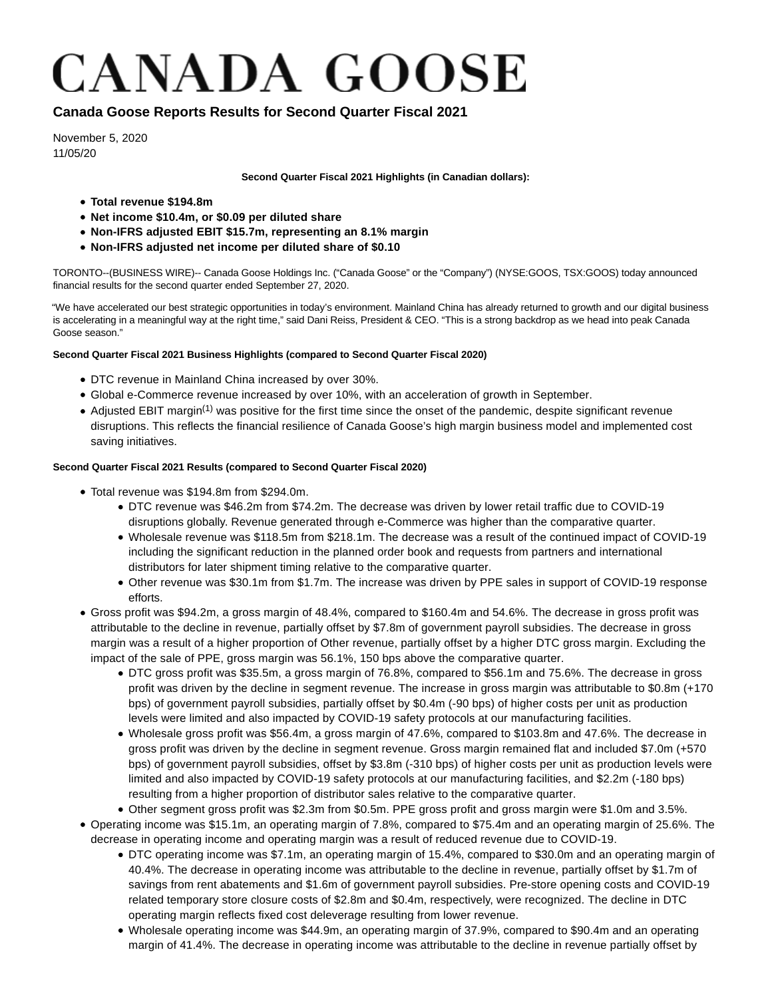# **CANADA GOOSE**

# **Canada Goose Reports Results for Second Quarter Fiscal 2021**

November 5, 2020 11/05/20

**Second Quarter Fiscal 2021 Highlights (in Canadian dollars):**

- **Total revenue \$194.8m**
- **Net income \$10.4m, or \$0.09 per diluted share**
- **Non-IFRS adjusted EBIT \$15.7m, representing an 8.1% margin**
- **Non-IFRS adjusted net income per diluted share of \$0.10**

TORONTO--(BUSINESS WIRE)-- Canada Goose Holdings Inc. ("Canada Goose" or the "Company") (NYSE:GOOS, TSX:GOOS) today announced financial results for the second quarter ended September 27, 2020.

"We have accelerated our best strategic opportunities in today's environment. Mainland China has already returned to growth and our digital business is accelerating in a meaningful way at the right time," said Dani Reiss, President & CEO. "This is a strong backdrop as we head into peak Canada Goose season."

# **Second Quarter Fiscal 2021 Business Highlights (compared to Second Quarter Fiscal 2020)**

- DTC revenue in Mainland China increased by over 30%.
- Global e-Commerce revenue increased by over 10%, with an acceleration of growth in September.
- Adjusted EBIT margin<sup>(1)</sup> was positive for the first time since the onset of the pandemic, despite significant revenue disruptions. This reflects the financial resilience of Canada Goose's high margin business model and implemented cost saving initiatives.

# **Second Quarter Fiscal 2021 Results (compared to Second Quarter Fiscal 2020)**

- Total revenue was \$194.8m from \$294.0m.
	- DTC revenue was \$46.2m from \$74.2m. The decrease was driven by lower retail traffic due to COVID-19 disruptions globally. Revenue generated through e-Commerce was higher than the comparative quarter.
	- Wholesale revenue was \$118.5m from \$218.1m. The decrease was a result of the continued impact of COVID-19 including the significant reduction in the planned order book and requests from partners and international distributors for later shipment timing relative to the comparative quarter.
	- Other revenue was \$30.1m from \$1.7m. The increase was driven by PPE sales in support of COVID-19 response efforts.
- Gross profit was \$94.2m, a gross margin of 48.4%, compared to \$160.4m and 54.6%. The decrease in gross profit was attributable to the decline in revenue, partially offset by \$7.8m of government payroll subsidies. The decrease in gross margin was a result of a higher proportion of Other revenue, partially offset by a higher DTC gross margin. Excluding the impact of the sale of PPE, gross margin was 56.1%, 150 bps above the comparative quarter.
	- DTC gross profit was \$35.5m, a gross margin of 76.8%, compared to \$56.1m and 75.6%. The decrease in gross profit was driven by the decline in segment revenue. The increase in gross margin was attributable to \$0.8m (+170 bps) of government payroll subsidies, partially offset by \$0.4m (-90 bps) of higher costs per unit as production levels were limited and also impacted by COVID-19 safety protocols at our manufacturing facilities.
	- Wholesale gross profit was \$56.4m, a gross margin of 47.6%, compared to \$103.8m and 47.6%. The decrease in gross profit was driven by the decline in segment revenue. Gross margin remained flat and included \$7.0m (+570 bps) of government payroll subsidies, offset by \$3.8m (-310 bps) of higher costs per unit as production levels were limited and also impacted by COVID-19 safety protocols at our manufacturing facilities, and \$2.2m (-180 bps) resulting from a higher proportion of distributor sales relative to the comparative quarter.
	- Other segment gross profit was \$2.3m from \$0.5m. PPE gross profit and gross margin were \$1.0m and 3.5%.
- Operating income was \$15.1m, an operating margin of 7.8%, compared to \$75.4m and an operating margin of 25.6%. The decrease in operating income and operating margin was a result of reduced revenue due to COVID-19.
	- DTC operating income was \$7.1m, an operating margin of 15.4%, compared to \$30.0m and an operating margin of 40.4%. The decrease in operating income was attributable to the decline in revenue, partially offset by \$1.7m of savings from rent abatements and \$1.6m of government payroll subsidies. Pre-store opening costs and COVID-19 related temporary store closure costs of \$2.8m and \$0.4m, respectively, were recognized. The decline in DTC operating margin reflects fixed cost deleverage resulting from lower revenue.
	- Wholesale operating income was \$44.9m, an operating margin of 37.9%, compared to \$90.4m and an operating margin of 41.4%. The decrease in operating income was attributable to the decline in revenue partially offset by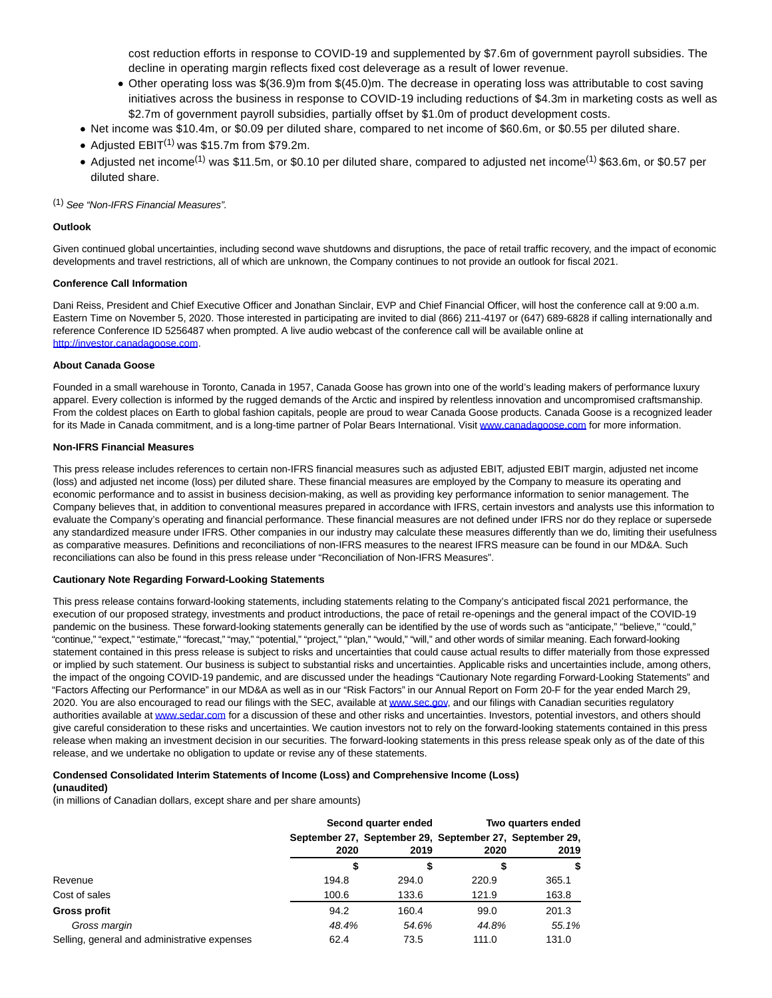cost reduction efforts in response to COVID-19 and supplemented by \$7.6m of government payroll subsidies. The decline in operating margin reflects fixed cost deleverage as a result of lower revenue.

- Other operating loss was \$(36.9)m from \$(45.0)m. The decrease in operating loss was attributable to cost saving initiatives across the business in response to COVID-19 including reductions of \$4.3m in marketing costs as well as \$2.7m of government payroll subsidies, partially offset by \$1.0m of product development costs.
- Net income was \$10.4m, or \$0.09 per diluted share, compared to net income of \$60.6m, or \$0.55 per diluted share.
- Adjusted  $EBIT^{(1)}$  was \$15.7m from \$79.2m.
- Adjusted net income<sup>(1)</sup> was \$11.5m, or \$0.10 per diluted share, compared to adjusted net income<sup>(1)</sup> \$63.6m, or \$0.57 per diluted share.

#### (1) See "Non-IFRS Financial Measures".

#### **Outlook**

Given continued global uncertainties, including second wave shutdowns and disruptions, the pace of retail traffic recovery, and the impact of economic developments and travel restrictions, all of which are unknown, the Company continues to not provide an outlook for fiscal 2021.

#### **Conference Call Information**

Dani Reiss, President and Chief Executive Officer and Jonathan Sinclair, EVP and Chief Financial Officer, will host the conference call at 9:00 a.m. Eastern Time on November 5, 2020. Those interested in participating are invited to dial (866) 211-4197 or (647) 689-6828 if calling internationally and reference Conference ID 5256487 when prompted. A live audio webcast of the conference call will be available online at [http://investor.canadagoose.com.](https://cts.businesswire.com/ct/CT?id=smartlink&url=http%3A%2F%2Finvestor.canadagoose.com&esheet=52320796&newsitemid=20201105005357&lan=en-US&anchor=http%3A%2F%2Finvestor.canadagoose.com&index=1&md5=371a467b763d0492b3270fbff26334f3)

#### **About Canada Goose**

Founded in a small warehouse in Toronto, Canada in 1957, Canada Goose has grown into one of the world's leading makers of performance luxury apparel. Every collection is informed by the rugged demands of the Arctic and inspired by relentless innovation and uncompromised craftsmanship. From the coldest places on Earth to global fashion capitals, people are proud to wear Canada Goose products. Canada Goose is a recognized leader for its Made in Canada commitment, and is a long-time partner of Polar Bears International. Visit [www.canadagoose.com f](https://cts.businesswire.com/ct/CT?id=smartlink&url=http%3A%2F%2Fwww.canadagoose.com&esheet=52320796&newsitemid=20201105005357&lan=en-US&anchor=www.canadagoose.com&index=2&md5=8e60b858ef13c910897c114c4a8cb567)or more information.

#### **Non-IFRS Financial Measures**

This press release includes references to certain non-IFRS financial measures such as adjusted EBIT, adjusted EBIT margin, adjusted net income (loss) and adjusted net income (loss) per diluted share. These financial measures are employed by the Company to measure its operating and economic performance and to assist in business decision-making, as well as providing key performance information to senior management. The Company believes that, in addition to conventional measures prepared in accordance with IFRS, certain investors and analysts use this information to evaluate the Company's operating and financial performance. These financial measures are not defined under IFRS nor do they replace or supersede any standardized measure under IFRS. Other companies in our industry may calculate these measures differently than we do, limiting their usefulness as comparative measures. Definitions and reconciliations of non-IFRS measures to the nearest IFRS measure can be found in our MD&A. Such reconciliations can also be found in this press release under "Reconciliation of Non-IFRS Measures".

#### **Cautionary Note Regarding Forward-Looking Statements**

This press release contains forward-looking statements, including statements relating to the Company's anticipated fiscal 2021 performance, the execution of our proposed strategy, investments and product introductions, the pace of retail re-openings and the general impact of the COVID-19 pandemic on the business. These forward-looking statements generally can be identified by the use of words such as "anticipate," "believe," "could," "continue," "expect," "estimate," "forecast," "may," "potential," "project," "plan," "would," "will," and other words of similar meaning. Each forward-looking statement contained in this press release is subject to risks and uncertainties that could cause actual results to differ materially from those expressed or implied by such statement. Our business is subject to substantial risks and uncertainties. Applicable risks and uncertainties include, among others, the impact of the ongoing COVID-19 pandemic, and are discussed under the headings "Cautionary Note regarding Forward-Looking Statements" and "Factors Affecting our Performance" in our MD&A as well as in our "Risk Factors" in our Annual Report on Form 20-F for the year ended March 29, 2020. You are also encouraged to read our filings with the SEC, available a[t www.sec.gov,](https://cts.businesswire.com/ct/CT?id=smartlink&url=http%3A%2F%2Fwww.sec.gov&esheet=52320796&newsitemid=20201105005357&lan=en-US&anchor=www.sec.gov&index=3&md5=d08e72d62f16647affe6a61a55d2dbf5) and our filings with Canadian securities regulatory authorities available a[t www.sedar.com f](https://cts.businesswire.com/ct/CT?id=smartlink&url=http%3A%2F%2Fwww.sedar.com&esheet=52320796&newsitemid=20201105005357&lan=en-US&anchor=www.sedar.com&index=4&md5=5934b7b277f69266abc30a7415aed29c)or a discussion of these and other risks and uncertainties. Investors, potential investors, and others should give careful consideration to these risks and uncertainties. We caution investors not to rely on the forward-looking statements contained in this press release when making an investment decision in our securities. The forward-looking statements in this press release speak only as of the date of this release, and we undertake no obligation to update or revise any of these statements.

# **Condensed Consolidated Interim Statements of Income (Loss) and Comprehensive Income (Loss)**

#### **(unaudited)**

(in millions of Canadian dollars, except share and per share amounts)

|                                              |       | Second quarter ended | Two quarters ended |                                                         |  |  |
|----------------------------------------------|-------|----------------------|--------------------|---------------------------------------------------------|--|--|
|                                              |       |                      |                    | September 27, September 29, September 27, September 29, |  |  |
|                                              | 2020  | 2019                 | 2020               | 2019                                                    |  |  |
|                                              | \$    |                      | \$                 | S                                                       |  |  |
| Revenue                                      | 194.8 | 294.0                | 220.9              | 365.1                                                   |  |  |
| Cost of sales                                | 100.6 | 133.6                | 121.9              | 163.8                                                   |  |  |
| <b>Gross profit</b>                          | 94.2  | 160.4                | 99.0               | 201.3                                                   |  |  |
| Gross margin                                 | 48.4% | 54.6%                | 44.8%              | 55.1%                                                   |  |  |
| Selling, general and administrative expenses | 62.4  | 73.5                 | 111.0              | 131.0                                                   |  |  |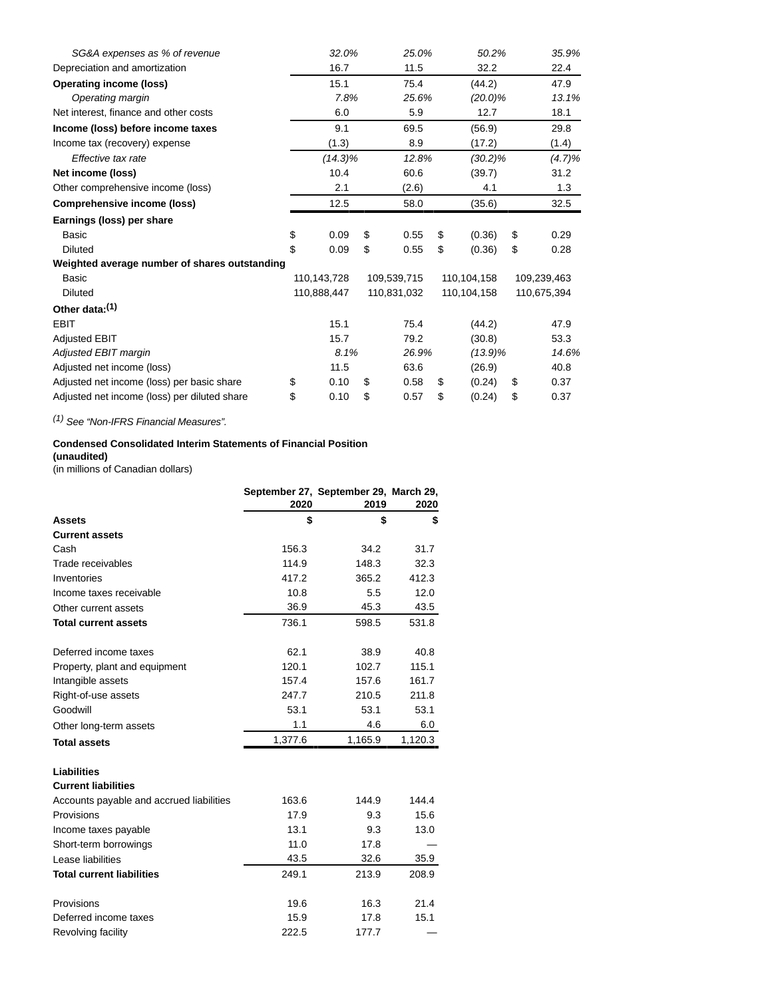| SG&A expenses as % of revenue                 | 32.0%       | 25.0%       | 50.2%        | 35.9%       |
|-----------------------------------------------|-------------|-------------|--------------|-------------|
| Depreciation and amortization                 | 16.7        | 11.5        | 32.2         | 22.4        |
| <b>Operating income (loss)</b>                | 15.1        | 75.4        | (44.2)       | 47.9        |
| Operating margin                              | 7.8%        | 25.6%       | $(20.0)\%$   | 13.1%       |
| Net interest, finance and other costs         | 6.0         | 5.9         | 12.7         | 18.1        |
| Income (loss) before income taxes             | 9.1         | 69.5        | (56.9)       | 29.8        |
| Income tax (recovery) expense                 | (1.3)       | 8.9         | (17.2)       | (1.4)       |
| Effective tax rate                            | $(14.3)\%$  | 12.8%       | $(30.2)\%$   | (4.7)%      |
| Net income (loss)                             | 10.4        | 60.6        | (39.7)       | 31.2        |
| Other comprehensive income (loss)             | 2.1         | (2.6)       | 4.1          | 1.3         |
| Comprehensive income (loss)                   | 12.5        | 58.0        | (35.6)       | 32.5        |
| Earnings (loss) per share                     |             |             |              |             |
| Basic                                         | \$<br>0.09  | \$<br>0.55  | \$<br>(0.36) | \$<br>0.29  |
| <b>Diluted</b>                                | \$<br>0.09  | \$<br>0.55  | \$<br>(0.36) | \$<br>0.28  |
| Weighted average number of shares outstanding |             |             |              |             |
| <b>Basic</b>                                  | 110,143,728 | 109,539,715 | 110,104,158  | 109,239,463 |
| <b>Diluted</b>                                | 110,888,447 | 110,831,032 | 110,104,158  | 110,675,394 |
| Other data: <sup>(1)</sup>                    |             |             |              |             |
| <b>EBIT</b>                                   | 15.1        | 75.4        | (44.2)       | 47.9        |
| <b>Adjusted EBIT</b>                          | 15.7        | 79.2        | (30.8)       | 53.3        |
| Adjusted EBIT margin                          | 8.1%        | 26.9%       | $(13.9)\%$   | 14.6%       |
| Adjusted net income (loss)                    | 11.5        | 63.6        | (26.9)       | 40.8        |
| Adjusted net income (loss) per basic share    | \$<br>0.10  | \$<br>0.58  | \$<br>(0.24) | \$<br>0.37  |
| Adjusted net income (loss) per diluted share  | \$<br>0.10  | \$<br>0.57  | \$<br>(0.24) | \$<br>0.37  |

(1) See "Non-IFRS Financial Measures".

# **Condensed Consolidated Interim Statements of Financial Position**

**(unaudited)**

(in millions of Canadian dollars)

|                                                  | 2020    | September 27, September 29, March 29,<br>2019 | 2020    |
|--------------------------------------------------|---------|-----------------------------------------------|---------|
| <b>Assets</b>                                    | \$      | \$                                            | \$      |
| <b>Current assets</b>                            |         |                                               |         |
| Cash                                             | 156.3   | 34.2                                          | 31.7    |
| Trade receivables                                | 114.9   | 148.3                                         | 32.3    |
| Inventories                                      | 417.2   | 365.2                                         | 412.3   |
| Income taxes receivable                          | 10.8    | 5.5                                           | 12.0    |
| Other current assets                             | 36.9    | 45.3                                          | 43.5    |
| <b>Total current assets</b>                      | 736.1   | 598.5                                         | 531.8   |
| Deferred income taxes                            | 62.1    | 38.9                                          | 40.8    |
| Property, plant and equipment                    | 120.1   | 102.7                                         | 115.1   |
| Intangible assets                                | 157.4   | 157.6                                         | 161.7   |
| Right-of-use assets                              | 247.7   | 210.5                                         | 211.8   |
| Goodwill                                         | 53.1    | 53.1                                          | 53.1    |
| Other long-term assets                           | 1.1     | 4.6                                           | 6.0     |
| <b>Total assets</b>                              | 1,377.6 | 1,165.9                                       | 1,120.3 |
| <b>Liabilities</b><br><b>Current liabilities</b> |         |                                               |         |
| Accounts payable and accrued liabilities         | 163.6   | 144.9                                         | 144.4   |
| Provisions                                       | 17.9    | 9.3                                           | 15.6    |
| Income taxes payable                             | 13.1    | 9.3                                           | 13.0    |
| Short-term borrowings                            | 11.0    | 17.8                                          |         |
| Lease liabilities                                | 43.5    | 32.6                                          | 35.9    |
| <b>Total current liabilities</b>                 | 249.1   | 213.9                                         | 208.9   |
| Provisions                                       | 19.6    | 16.3                                          | 21.4    |
| Deferred income taxes                            | 15.9    | 17.8                                          | 15.1    |
| Revolving facility                               | 222.5   | 177.7                                         |         |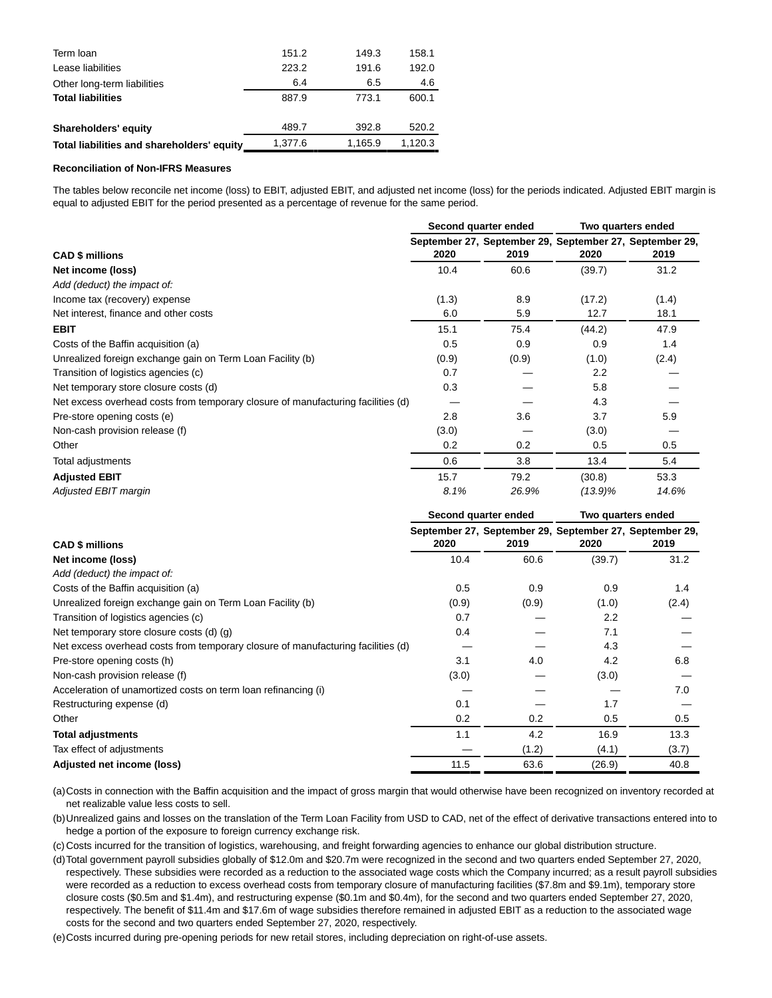| Term Ioan                                  | 151.2   | 149.3   | 158.1   |
|--------------------------------------------|---------|---------|---------|
| Lease liabilities                          | 223.2   | 191.6   | 192.0   |
| Other long-term liabilities                | 6.4     | 6.5     | 4.6     |
| <b>Total liabilities</b>                   | 887.9   | 773.1   | 600.1   |
| Shareholders' equity                       | 489.7   | 392.8   | 520.2   |
| Total liabilities and shareholders' equity | 1.377.6 | 1,165.9 | 1.120.3 |

#### **Reconciliation of Non-IFRS Measures**

The tables below reconcile net income (loss) to EBIT, adjusted EBIT, and adjusted net income (loss) for the periods indicated. Adjusted EBIT margin is equal to adjusted EBIT for the period presented as a percentage of revenue for the same period.

|                                                                                  |       | Second quarter ended | Two quarters ended |                                                                 |  |
|----------------------------------------------------------------------------------|-------|----------------------|--------------------|-----------------------------------------------------------------|--|
| <b>CAD \$ millions</b>                                                           | 2020  | 2019                 | 2020               | September 27, September 29, September 27, September 29,<br>2019 |  |
| Net income (loss)                                                                | 10.4  | 60.6                 | (39.7)             | 31.2                                                            |  |
| Add (deduct) the impact of:                                                      |       |                      |                    |                                                                 |  |
| Income tax (recovery) expense                                                    | (1.3) | 8.9                  | (17.2)             | (1.4)                                                           |  |
| Net interest, finance and other costs                                            | 6.0   | 5.9                  | 12.7               | 18.1                                                            |  |
| <b>EBIT</b>                                                                      | 15.1  | 75.4                 | (44.2)             | 47.9                                                            |  |
| Costs of the Baffin acquisition (a)                                              | 0.5   | 0.9                  | 0.9                | 1.4                                                             |  |
| Unrealized foreign exchange gain on Term Loan Facility (b)                       | (0.9) | (0.9)                | (1.0)              | (2.4)                                                           |  |
| Transition of logistics agencies (c)                                             | 0.7   |                      | 2.2                |                                                                 |  |
| Net temporary store closure costs (d)                                            | 0.3   |                      | 5.8                |                                                                 |  |
| Net excess overhead costs from temporary closure of manufacturing facilities (d) |       |                      | 4.3                |                                                                 |  |
| Pre-store opening costs (e)                                                      | 2.8   | 3.6                  | 3.7                | 5.9                                                             |  |
| Non-cash provision release (f)                                                   | (3.0) |                      | (3.0)              |                                                                 |  |
| Other                                                                            | 0.2   | 0.2                  | 0.5                | 0.5                                                             |  |
| Total adjustments                                                                | 0.6   | 3.8                  | 13.4               | 5.4                                                             |  |
| <b>Adjusted EBIT</b>                                                             | 15.7  | 79.2                 | (30.8)             | 53.3                                                            |  |
| Adjusted EBIT margin                                                             | 8.1%  | 26.9%                | $(13.9)\%$         | 14.6%                                                           |  |

|                                                                                  |       | Second quarter ended | Two quarters ended |                                                                 |  |
|----------------------------------------------------------------------------------|-------|----------------------|--------------------|-----------------------------------------------------------------|--|
| <b>CAD \$ millions</b>                                                           | 2020  | 2019                 | 2020               | September 27, September 29, September 27, September 29,<br>2019 |  |
| Net income (loss)                                                                | 10.4  | 60.6                 | (39.7)             | 31.2                                                            |  |
| Add (deduct) the impact of:                                                      |       |                      |                    |                                                                 |  |
| Costs of the Baffin acquisition (a)                                              | 0.5   | 0.9                  | 0.9                | 1.4                                                             |  |
| Unrealized foreign exchange gain on Term Loan Facility (b)                       | (0.9) | (0.9)                | (1.0)              | (2.4)                                                           |  |
| Transition of logistics agencies (c)                                             | 0.7   |                      | 2.2                |                                                                 |  |
| Net temporary store closure costs (d) (g)                                        | 0.4   |                      | 7.1                |                                                                 |  |
| Net excess overhead costs from temporary closure of manufacturing facilities (d) |       |                      | 4.3                |                                                                 |  |
| Pre-store opening costs (h)                                                      | 3.1   | 4.0                  | 4.2                | 6.8                                                             |  |
| Non-cash provision release (f)                                                   | (3.0) |                      | (3.0)              |                                                                 |  |
| Acceleration of unamortized costs on term loan refinancing (i)                   |       |                      |                    | 7.0                                                             |  |
| Restructuring expense (d)                                                        | 0.1   |                      | 1.7                |                                                                 |  |
| Other                                                                            | 0.2   | 0.2                  | 0.5                | 0.5                                                             |  |
| <b>Total adjustments</b>                                                         | 1.1   | 4.2                  | 16.9               | 13.3                                                            |  |
| Tax effect of adjustments                                                        |       | (1.2)                | (4.1)              | (3.7)                                                           |  |
| Adjusted net income (loss)                                                       | 11.5  | 63.6                 | (26.9)             | 40.8                                                            |  |

(a)Costs in connection with the Baffin acquisition and the impact of gross margin that would otherwise have been recognized on inventory recorded at net realizable value less costs to sell.

(b)Unrealized gains and losses on the translation of the Term Loan Facility from USD to CAD, net of the effect of derivative transactions entered into to hedge a portion of the exposure to foreign currency exchange risk.

(c) Costs incurred for the transition of logistics, warehousing, and freight forwarding agencies to enhance our global distribution structure.

(d)Total government payroll subsidies globally of \$12.0m and \$20.7m were recognized in the second and two quarters ended September 27, 2020, respectively. These subsidies were recorded as a reduction to the associated wage costs which the Company incurred; as a result payroll subsidies were recorded as a reduction to excess overhead costs from temporary closure of manufacturing facilities (\$7.8m and \$9.1m), temporary store closure costs (\$0.5m and \$1.4m), and restructuring expense (\$0.1m and \$0.4m), for the second and two quarters ended September 27, 2020, respectively. The benefit of \$11.4m and \$17.6m of wage subsidies therefore remained in adjusted EBIT as a reduction to the associated wage costs for the second and two quarters ended September 27, 2020, respectively.

(e)Costs incurred during pre-opening periods for new retail stores, including depreciation on right-of-use assets.